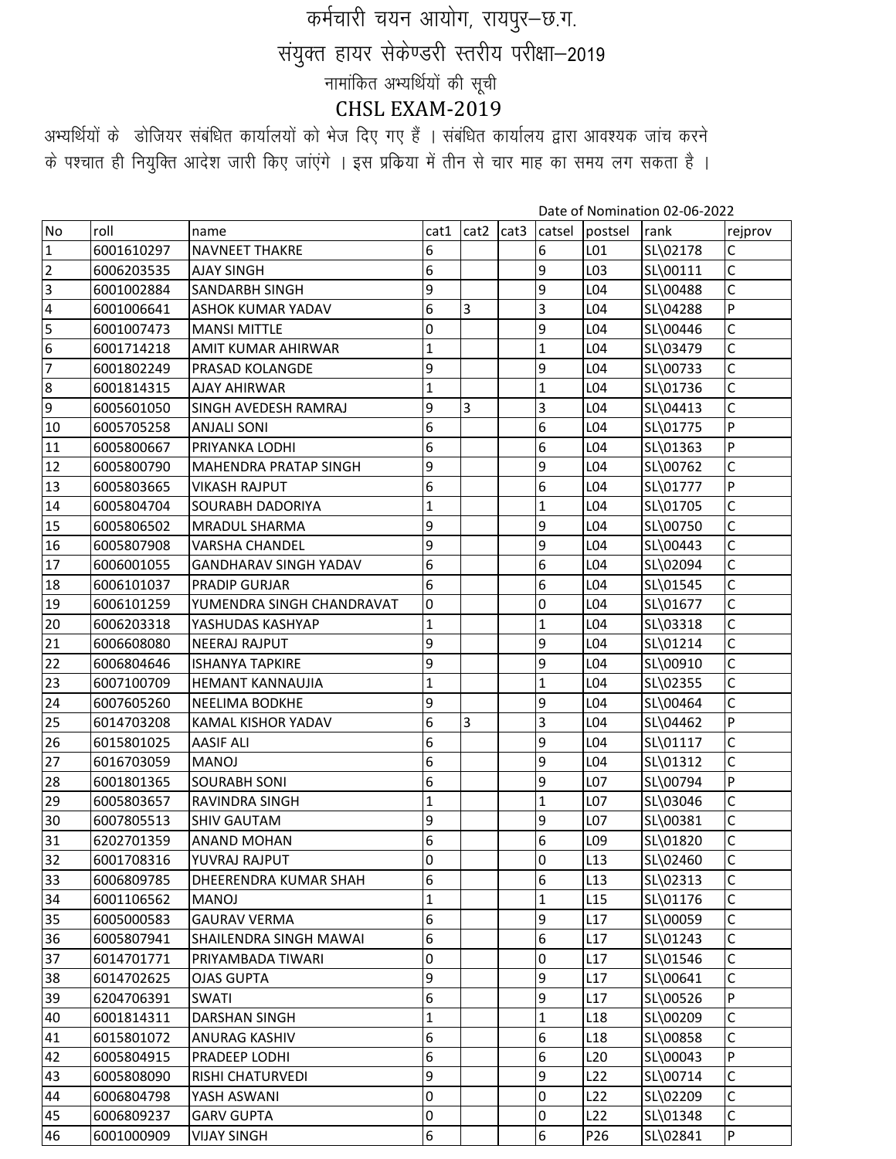## कर्मचारी चयन आयोग, रायपुर-छ.ग. संयुक्त हायर सेकेण्डरी स्तरीय परीक्षा-2019 नामांकित अभ्यर्थियों की सूची CHSL EXAM-2019

अभ्यर्थियों के डोजियर संबंधित कार्यालयों को भेज दिए गए हैं । संबंधित कार्यालय द्वारा आवश्यक जांच करने के पश्चात ही नियुक्ति आदेश जारी किए जांएंगे । इस प्रकिया में तीन से चार माह का समय लग सकता है ।

Date of Nomination 02-06-2022

|                |            |                               |              |                |                  |                 |                 | Date of Normiation 02-00-2022 |         |
|----------------|------------|-------------------------------|--------------|----------------|------------------|-----------------|-----------------|-------------------------------|---------|
| No             | roll       | name                          | cat1         | cat2           | cat <sub>3</sub> | catsel          | postsel         | rank                          | rejprov |
| 1              | 6001610297 | <b>NAVNEET THAKRE</b>         | 6            |                |                  | 6               | L01             | SL\02178                      | С       |
| $\overline{2}$ | 6006203535 | <b>AJAY SINGH</b>             | 6            |                |                  | 9               | L03             | SL\00111                      | Ċ       |
| 3              | 6001002884 | <b>SANDARBH SINGH</b>         | 9            |                |                  | 9               | L04             | SL\00488                      | C       |
| 4              | 6001006641 | <b>ASHOK KUMAR YADAV</b>      | 6            | 3              |                  | 3               | L04             | SL\04288                      | P       |
| 5              | 6001007473 | <b>MANSI MITTLE</b>           | 0            |                |                  | 9               | L04             | SL\00446                      | C       |
| 6              | 6001714218 | AMIT KUMAR AHIRWAR            | 1            |                |                  | $\mathbf{1}$    | L04             | SL\03479                      | Ċ       |
| 7              | 6001802249 | PRASAD KOLANGDE               | 9            |                |                  | 9               | L04             | SL\00733                      | C       |
| 8              | 6001814315 | <b>AJAY AHIRWAR</b>           | 1            |                |                  | $\mathbf{1}$    | L04             | SL\01736                      | C       |
| 9              | 6005601050 | SINGH AVEDESH RAMRAJ          | 9            | 3              |                  | 3               | L04             | SL\04413                      | Ċ       |
| 10             | 6005705258 | <b>ANJALI SONI</b>            | 6            |                |                  | 6               | L04             | SL\01775                      | Þ       |
| 11             | 6005800667 | PRIYANKA LODHI                | 6            |                |                  | 6               | L04             | SL\01363                      | P       |
| 12             | 6005800790 | <b>MAHENDRA PRATAP SINGH</b>  | 9            |                |                  | 9               | L04             | SL\00762                      | C       |
| 13             | 6005803665 | <b>VIKASH RAJPUT</b>          | 6            |                |                  | 6               | L04             | SL\01777                      | P       |
| 14             | 6005804704 | SOURABH DADORIYA              | $\mathbf{1}$ |                |                  | $\mathbf{1}$    | L04             | SL\01705                      | Ċ       |
| 15             | 6005806502 | <b>MRADUL SHARMA</b>          | 9            |                |                  | 9               | L04             | SL\00750                      | C       |
| 16             | 6005807908 | <b>VARSHA CHANDEL</b>         | 9            |                |                  | 9               | L04             | SL\00443                      | Ċ       |
| 17             | 6006001055 | <b>GANDHARAV SINGH YADAV</b>  | 6            |                |                  | 6               | L04             | SL\02094                      | C       |
| 18             | 6006101037 | <b>PRADIP GURJAR</b>          | 6            |                |                  | 6               | L04             | SL\01545                      | C       |
| 19             | 6006101259 | YUMENDRA SINGH CHANDRAVAT     | 0            |                |                  | 0               | L04             | SL\01677                      | Ċ       |
| 20             | 6006203318 | YASHUDAS KASHYAP              | 1            |                |                  | $\mathbf{1}$    | L04             | SL\03318                      | C       |
| 21             | 6006608080 | <b>NEERAJ RAJPUT</b>          | 9            |                |                  | 9               | L04             | SL\01214                      | Ċ       |
| 22             | 6006804646 | <b>ISHANYA TAPKIRE</b>        | 9            |                |                  | 9               | L04             | SL\00910                      | C       |
| 23             | 6007100709 | <b>HEMANT KANNAUJIA</b>       | 1            |                |                  | $\mathbf{1}$    | L04             | SL\02355                      | Ċ       |
| 24             | 6007605260 | <b>NEELIMA BODKHE</b>         | 9            |                |                  | 9               | L04             | SL\00464                      | Ċ       |
| 25             | 6014703208 | KAMAL KISHOR YADAV            | 6            | $\overline{3}$ |                  | 3               | L04             | SL\04462                      | P       |
| 26             | 6015801025 | <b>AASIF ALI</b>              | 6            |                |                  | 9               | L04             | SL\01117                      | Ċ       |
| 27             | 6016703059 | <b>MANOJ</b>                  | 6            |                |                  | 9               | L04             | SL\01312                      | Ċ       |
| 28             | 6001801365 | <b>SOURABH SONI</b>           | 6            |                |                  | 9               | L07             | SL\00794                      | P       |
| 29             | 6005803657 | RAVINDRA SINGH                | 1            |                |                  | $\mathbf{1}$    | L07             | SL\03046                      | C       |
| $30\,$         | 6007805513 | <b>SHIV GAUTAM</b>            | q            |                |                  | 9               | L <sub>07</sub> | SL\00381                      | Ċ       |
| 31             | 6202701359 | ANAND MOHAN                   | 6            |                |                  | 6               | L09             | SL\01820                      | Ċ       |
| 32             | 6001708316 | YUVRAJ RAJPUT                 | 0            |                |                  | 0               | L13             | SL\02460                      | C       |
| 33             | 6006809785 | DHEERENDRA KUMAR SHAH         | 6            |                |                  | 6               | L13             | SL\02313                      | C       |
| 34             | 6001106562 | <b>MANOJ</b>                  | 1            |                |                  | $\mathbf{1}$    | L15             | SL\01176                      | C       |
| 35             | 6005000583 | <b>GAURAV VERMA</b>           | 6            |                |                  | $\overline{9}$  | L17             | SL\00059                      | C       |
| 36             | 6005807941 | <b>SHAILENDRA SINGH MAWAI</b> | 6            |                |                  | 6               | L17             | SL\01243                      | C       |
| 37             | 6014701771 | PRIYAMBADA TIWARI             | 0            |                |                  | 0               | L17             | SL\01546                      | C       |
| 38             | 6014702625 | <b>OJAS GUPTA</b>             | 9            |                |                  | 9               | L17             | SL\00641                      | Ċ       |
| 39             | 6204706391 | SWATI                         | 6            |                |                  | 9               | L17             | SL\00526                      | P       |
| 40             | 6001814311 | <b>DARSHAN SINGH</b>          | 1            |                |                  | 1               | L18             | SL\00209                      | C       |
| 41             | 6015801072 | ANURAG KASHIV                 | 6            |                |                  | 6               | L <sub>18</sub> | SL\00858                      | C       |
| 42             | 6005804915 | PRADEEP LODHI                 | 6            |                |                  | 6               | L <sub>20</sub> | SL\00043                      | P       |
| 43             | 6005808090 | <b>RISHI CHATURVEDI</b>       | 9            |                |                  | $\overline{9}$  | L22             | SL\00714                      | C       |
| 44             | 6006804798 | YASH ASWANI                   | 0            |                |                  | 0               | L <sub>22</sub> | SL\02209                      | C       |
| 45             | 6006809237 | <b>GARV GUPTA</b>             | 0            |                |                  | 0               | L22             | SL\01348                      | C       |
| 46             | 6001000909 | <b>VIJAY SINGH</b>            | 6            |                |                  | $6\phantom{.}6$ | P26             | SL\02841                      | $\sf P$ |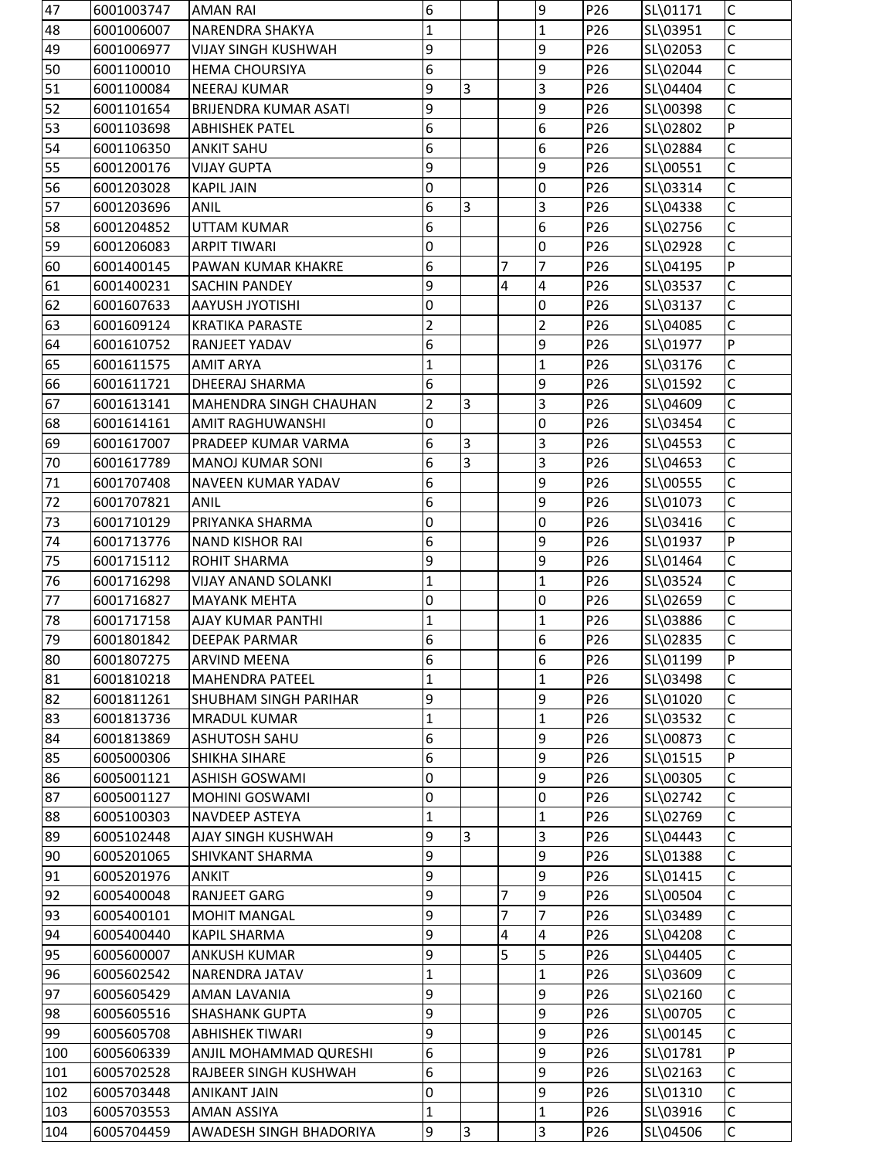| 47  | 6001003747 | <b>AMAN RAI</b>            | 6                |                |                | 9                | P <sub>26</sub> | SL\01171 | IС           |
|-----|------------|----------------------------|------------------|----------------|----------------|------------------|-----------------|----------|--------------|
| 48  | 6001006007 | <b>NARENDRA SHAKYA</b>     | $\mathbf 1$      |                |                | $\mathbf 1$      | P26             | SL\03951 | C            |
| 49  | 6001006977 | <b>VIJAY SINGH KUSHWAH</b> | 9                |                |                | 9                | P26             | SL\02053 | $\mathsf C$  |
| 50  | 6001100010 | <b>HEMA CHOURSIYA</b>      | 6                |                |                | 9                | P26             | SL\02044 | $\mathsf{C}$ |
| 51  | 6001100084 | <b>NEERAJ KUMAR</b>        | 9                | 3              |                | 3                | P26             | SL\04404 | $\mathsf C$  |
| 52  | 6001101654 | BRIJENDRA KUMAR ASATI      | 9                |                |                | 9                | P26             | SL\00398 | C            |
| 53  | 6001103698 | <b>ABHISHEK PATEL</b>      | 6                |                |                | 6                | P26             | SL\02802 | P            |
| 54  | 6001106350 | <b>ANKIT SAHU</b>          | 6                |                |                | 6                | P26             | SL\02884 | $\mathsf C$  |
| 55  | 6001200176 | <b>VIJAY GUPTA</b>         | 9                |                |                | 9                | P26             | SL\00551 | $\mathsf{C}$ |
| 56  | 6001203028 | <b>KAPIL JAIN</b>          | 0                |                |                | 0                | P26             | SL\03314 | С            |
| 57  | 6001203696 | <b>ANIL</b>                | 6                | $\overline{3}$ |                | 3                | P26             | SL\04338 | C            |
| 58  | 6001204852 | <b>UTTAM KUMAR</b>         | 6                |                |                | 6                | P26             | SL\02756 | C            |
| 59  | 6001206083 | <b>ARPIT TIWARI</b>        | 0                |                |                | $\overline{0}$   | P26             | SL\02928 | $\mathsf C$  |
| 60  | 6001400145 | PAWAN KUMAR KHAKRE         | 6                |                | $\overline{7}$ | $\overline{7}$   | P26             | SL\04195 | P            |
| 61  | 6001400231 | <b>SACHIN PANDEY</b>       | 9                |                | 4              | 4                | P26             | SL\03537 | $\mathsf C$  |
| 62  | 6001607633 | <b>AAYUSH JYOTISHI</b>     | 0                |                |                | 0                | P26             | SL\03137 | $\mathsf C$  |
| 63  | 6001609124 | <b>KRATIKA PARASTE</b>     | 2                |                |                | 2                | P26             | SL\04085 | С            |
| 64  | 6001610752 | RANJEET YADAV              | 6                |                |                | 9                | P26             | SL\01977 | P            |
| 65  | 6001611575 | <b>AMIT ARYA</b>           | $\mathbf 1$      |                |                | $\mathbf 1$      | P26             | SL\03176 | $\mathsf C$  |
| 66  | 6001611721 | DHEERAJ SHARMA             | 6                |                |                | 9                | P26             | SL\01592 | C            |
| 67  | 6001613141 | MAHENDRA SINGH CHAUHAN     | $\overline{2}$   | $\overline{3}$ |                | $\overline{3}$   | P26             | SL\04609 | $\mathsf{C}$ |
| 68  | 6001614161 | <b>AMIT RAGHUWANSHI</b>    | 0                |                |                | 0                | P26             | SL\03454 | С            |
| 69  | 6001617007 | PRADEEP KUMAR VARMA        | 6                | $\overline{3}$ |                | 3                | P26             | SL\04553 | $\mathsf C$  |
| 70  | 6001617789 | <b>MANOJ KUMAR SONI</b>    | 6                | $\overline{3}$ |                | $\overline{3}$   | P26             | SL\04653 | $\mathsf C$  |
| 71  | 6001707408 | NAVEEN KUMAR YADAV         | 6                |                |                | 9                | P26             | SL\00555 | $\mathsf C$  |
| 72  | 6001707821 | <b>ANIL</b>                | 6                |                |                | 9                | P26             | SL\01073 | $\mathsf{C}$ |
| 73  | 6001710129 | PRIYANKA SHARMA            | 0                |                |                | 0                | P26             | SL\03416 | С            |
| 74  | 6001713776 | <b>NAND KISHOR RAI</b>     | 6                |                |                | 9                | P26             | SL\01937 | P            |
| 75  | 6001715112 | ROHIT SHARMA               | 9                |                |                | 9                | P26             | SL\01464 | $\mathsf{C}$ |
| 76  | 6001716298 | <b>VIJAY ANAND SOLANKI</b> | $\mathbf 1$      |                |                | $\mathbf{1}$     | P26             | SL\03524 | $\mathsf C$  |
| 77  | 6001716827 | <b>MAYANK MEHTA</b>        | $\mathbf 0$      |                |                | 0                | P26             | SL\02659 | $\mathsf C$  |
| 78  | 6001717158 | AJAY KUMAR PANTHI          | $\vert$ 1        |                |                | 1                | P <sub>26</sub> | SL\03886 | C            |
| 79  | 6001801842 | <b>DEEPAK PARMAR</b>       | 6                |                |                | 6                | P26             | SL\02835 | Ċ            |
| 80  | 6001807275 | <b>ARVIND MEENA</b>        | 6                |                |                | 6                | P26             | SL\01199 | P            |
| 81  | 6001810218 | <b>MAHENDRA PATEEL</b>     | $\mathbf{1}$     |                |                | $\mathbf{1}$     | P26             | SL\03498 | $\mathsf C$  |
| 82  | 6001811261 | SHUBHAM SINGH PARIHAR      | $\boldsymbol{9}$ |                |                | 9                | P26             | SL\01020 | $\mathsf C$  |
| 83  | 6001813736 | <b>MRADUL KUMAR</b>        | $\mathbf{1}$     |                |                | $\mathbf{1}$     | P26             | SL\03532 | $\mathsf C$  |
| 84  | 6001813869 | <b>ASHUTOSH SAHU</b>       | 6                |                |                | 9                | P26             | SL\00873 | C            |
| 85  | 6005000306 | SHIKHA SIHARE              | $6\phantom{a}$   |                |                | 9                | P26             | SL\01515 | P            |
| 86  | 6005001121 | <b>ASHISH GOSWAMI</b>      | 0                |                |                | 9                | P26             | SL\00305 | $\mathsf C$  |
| 87  | 6005001127 | MOHINI GOSWAMI             | 0                |                |                | 0                | P26             | SL\02742 | $\mathsf C$  |
| 88  | 6005100303 | NAVDEEP ASTEYA             | $\mathbf 1$      |                |                | $\mathbf{1}$     | P26             | SL\02769 | C            |
| 89  | 6005102448 | AJAY SINGH KUSHWAH         | 9                | $\overline{3}$ |                | $\overline{3}$   | P26             | SL\04443 | $\mathsf C$  |
| 90  | 6005201065 | SHIVKANT SHARMA            | 9                |                |                | 9                | P26             | SL\01388 | $\mathsf{C}$ |
| 91  | 6005201976 | <b>ANKIT</b>               | 9                |                |                | 9                | P26             | SL\01415 | $\mathsf C$  |
| 92  | 6005400048 | RANJEET GARG               | $\boldsymbol{9}$ |                | 7              | 9                | P26             | SL\00504 | $\mathsf C$  |
| 93  | 6005400101 | <b>MOHIT MANGAL</b>        | 9                |                | 7              | $\overline{7}$   | P26             | SL\03489 | $\mathsf C$  |
| 94  | 6005400440 | <b>KAPIL SHARMA</b>        | $\overline{9}$   |                | 4              | $\overline{4}$   | P26             | SL\04208 | $\mathsf C$  |
| 95  | 6005600007 | <b>ANKUSH KUMAR</b>        | 9                |                | 5              | 5                | P26             | SL\04405 | $\mathsf C$  |
| 96  | 6005602542 | NARENDRA JATAV             | $\mathbf{1}$     |                |                | $\mathbf{1}$     | P26             | SL\03609 | C            |
| 97  | 6005605429 | <b>AMAN LAVANIA</b>        | 9                |                |                | 9                | P26             | SL\02160 | $\mathsf C$  |
| 98  | 6005605516 | <b>SHASHANK GUPTA</b>      | 9                |                |                | 9                | P26             | SL\00705 | $\mathsf C$  |
| 99  | 6005605708 | <b>ABHISHEK TIWARI</b>     | 9                |                |                | 9                | P26             | SL\00145 | Ċ            |
| 100 | 6005606339 | ANJIL MOHAMMAD QURESHI     | $6\phantom{.}6$  |                |                | 9                | P26             | SL\01781 | P            |
| 101 | 6005702528 | RAJBEER SINGH KUSHWAH      | 6                |                |                | 9                | P26             | SL\02163 | $\mathsf C$  |
| 102 | 6005703448 | <b>ANIKANT JAIN</b>        | 0                |                |                | $\boldsymbol{9}$ | P26             | SL\01310 | $\mathsf C$  |
| 103 | 6005703553 | <b>AMAN ASSIYA</b>         | $\mathbf 1$      |                |                | $\mathbf 1$      | P26             | SL\03916 | $\mathsf C$  |
|     | 6005704459 |                            | $\boldsymbol{9}$ | $\overline{3}$ |                | $\overline{3}$   | P26             |          | $\mathsf C$  |
| 104 |            | AWADESH SINGH BHADORIYA    |                  |                |                |                  |                 | SL\04506 |              |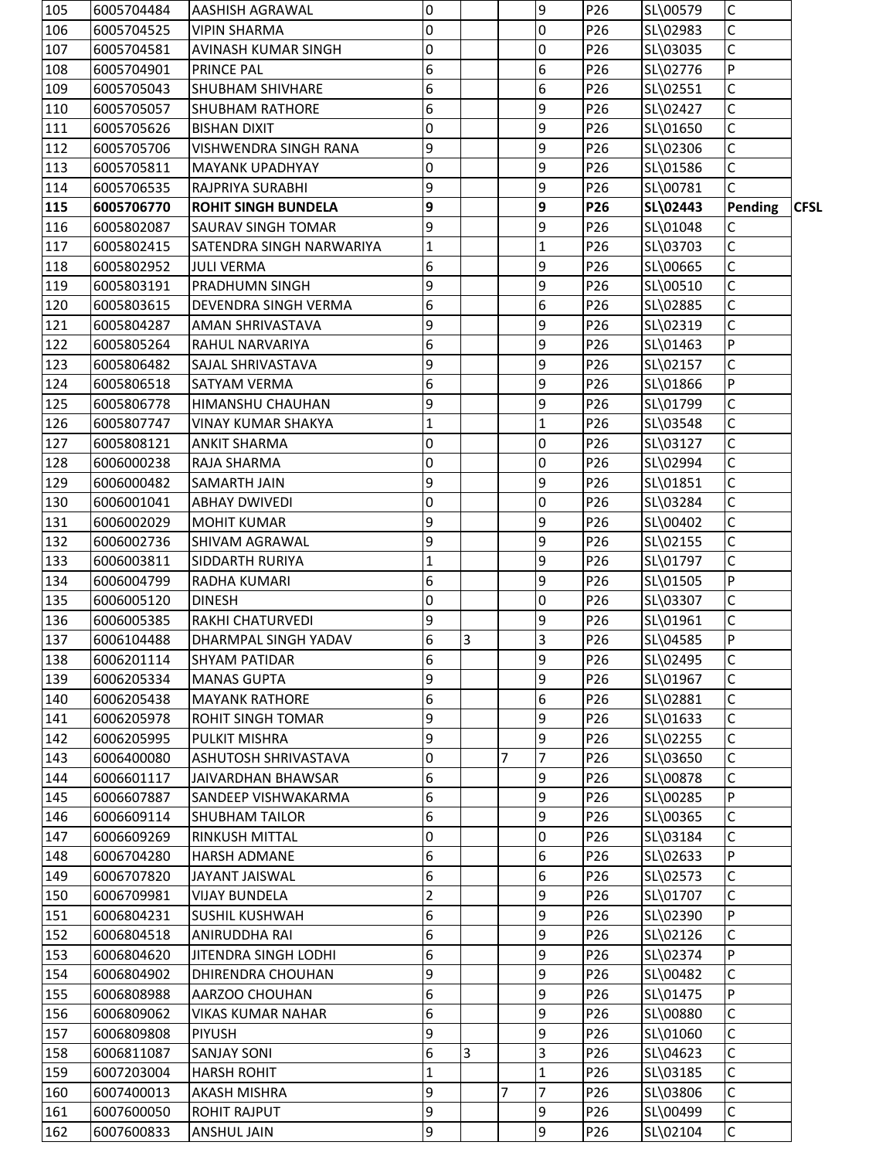| $\mathsf{C}$<br>106<br>0<br>l0<br>P26<br>SL\02983<br>6005704525<br><b>VIPIN SHARMA</b><br>$\mathsf{C}$<br>107<br>0<br>$\overline{0}$<br>P26<br>SL\03035<br>6005704581<br><b>AVINASH KUMAR SINGH</b><br>6<br>$\overline{P}$<br>108<br>6005704901<br><b>PRINCE PAL</b><br>6<br>P26<br>SL\02776<br>6<br>$\mathsf{C}$<br>6<br>P26<br>109<br>6005705043<br><b>SHUBHAM SHIVHARE</b><br>SL\02551<br>6<br>$\mathsf C$<br>110<br>9<br>P26<br>SL\02427<br>6005705057<br><b>SHUBHAM RATHORE</b><br>$\mathsf{C}$<br>9<br>P26<br>SL\01650<br>111<br>6005705626<br><b>BISHAN DIXIT</b><br>0<br>$\mathsf C$<br>112<br>9<br>9<br>P26<br>SL\02306<br>6005705706<br><b>VISHWENDRA SINGH RANA</b><br>$\mathsf C$<br>113<br>0<br>9<br>6005705811<br><b>MAYANK UPADHYAY</b><br>P26<br>SL\01586<br>$\mathsf{C}$<br>9<br>9<br>P26<br>114<br>6005706535<br>SL\00781<br><b>RAJPRIYA SURABHI</b><br>9<br>9<br>115<br>P26<br>Pending<br><b>CFSL</b><br>6005706770<br><b>ROHIT SINGH BUNDELA</b><br>SL\02443<br>9<br>9<br>P26<br>SL\01048<br>C<br>116<br>6005802087<br><b>SAURAV SINGH TOMAR</b><br>$\mathsf{C}$<br>117<br>$\mathbf 1$<br>P26<br>SL\03703<br>6005802415<br>SATENDRA SINGH NARWARIYA<br>1<br>$\mathsf{C}$<br>118<br>6<br>9<br>6005802952<br><b>JULI VERMA</b><br>P26<br>SL\00665<br>$\mathsf{C}$<br>9<br>9<br>119<br>P26<br>SL\00510<br>6005803191<br><b>PRADHUMN SINGH</b><br>6<br>$\mathsf{C}$<br>120<br>6<br>P26<br>6005803615<br>DEVENDRA SINGH VERMA<br>SL\02885<br>$\mathsf{C}$<br>9<br>9<br>121<br>P26<br>SL\02319<br>6005804287<br><b>AMAN SHRIVASTAVA</b><br>6<br>P<br>122<br>9<br>P26<br>SL\01463<br>6005805264<br>RAHUL NARVARIYA<br>$\mathsf{C}$<br>9<br>9<br>123<br>6005806482<br><b>SAJAL SHRIVASTAVA</b><br>P26<br>SL\02157<br>6<br><b>P</b><br>9<br>124<br>P26<br>SL\01866<br>6005806518<br><b>SATYAM VERMA</b><br>9<br>9<br>$\mathsf{C}$<br>125<br>P26<br>SL\01799<br>6005806778<br>HIMANSHU CHAUHAN<br>$\mathsf{C}$<br>126<br>SL\03548<br>6005807747<br>P26<br>VINAY KUMAR SHAKYA<br>1<br>1<br>$\mathsf{C}$<br>127<br>0<br>P26<br>0<br>SL\03127<br>6005808121<br><b>ANKIT SHARMA</b><br>$\mathsf{C}$<br>SL\02994<br>128<br>6006000238<br>RAJA SHARMA<br>0<br>0<br>P26<br>$\mathsf{C}$<br>129<br>9<br>9<br>P26<br>SL\01851<br>6006000482<br><b>SAMARTH JAIN</b><br>$\mathsf{C}$<br>0<br>130<br>l0<br>P26<br>SL\03284<br>6006001041<br><b>ABHAY DWIVEDI</b><br>$\mathsf{C}$<br>131<br>9<br>9<br>P26<br>SL\00402<br>6006002029<br><b>MOHIT KUMAR</b><br>$\mathsf C$<br>9<br>132<br>9<br>P26<br>SL\02155<br>6006002736<br><b>SHIVAM AGRAWAL</b><br>$\mathsf{C}$<br>9<br>SL\01797<br>133<br>6006003811<br><b>SIDDARTH RURIYA</b><br>P26<br>1<br>6<br>$\mathsf{P}$<br>134<br>9<br>P26<br>SL\01505<br>6006004799<br>RADHA KUMARI<br>$\mathsf{C}$<br>135<br>0<br>$\Omega$<br>P26<br>SL\03307<br>6006005120<br><b>DINESH</b><br>P26<br>136<br>6006005385<br>9<br>9<br>SL\01961<br>Iс<br><b>RAKHI CHATURVEDI</b><br>6<br>3<br>3<br>P26<br>P<br>137<br>SL\04585<br>6006104488<br>DHARMPAL SINGH YADAV<br>6<br>$\mathsf{C}$<br>9<br>SL\02495<br>138<br>6006201114<br>P26<br><b>SHYAM PATIDAR</b><br>9<br>9<br>C<br>139<br>SL\01967<br>6006205334<br><b>MANAS GUPTA</b><br>P <sub>26</sub><br>6<br>$\mathsf C$<br>6<br>6006205438<br><b>MAYANK RATHORE</b><br>P26<br>SL\02881<br>140<br>$\mathsf{C}$<br>9<br>9<br>141<br>P26<br>SL\01633<br>6006205978<br><b>ROHIT SINGH TOMAR</b><br>9<br>9<br>$\mathsf{C}$<br>142<br>P26<br>6006205995<br>PULKIT MISHRA<br>SL\02255<br>$\mathsf{C}$<br>143<br>0<br>7<br>7<br>6006400080<br><b>ASHUTOSH SHRIVASTAVA</b><br>P26<br>SL\03650<br>6<br>9<br>C<br>144<br>P26<br>SL\00878<br>6006601117<br>JAIVARDHAN BHAWSAR<br>6<br>${\sf P}$<br>9<br>6006607887<br>P26<br>SL\00285<br>145<br><b>SANDEEP VISHWAKARMA</b><br>6<br>$\mathsf{C}$<br>9<br>146<br>P26<br>SL\00365<br>6006609114<br><b>SHUBHAM TAILOR</b><br>0<br>147<br>P26<br>SL\03184<br>C<br>6006609269<br><b>RINKUSH MITTAL</b><br>0<br>6<br>P<br>148<br>6<br>P26<br>SL\02633<br>6006704280<br><b>HARSH ADMANE</b><br>6<br>$\mathsf C$<br>6<br>149<br>P26<br>SL\02573<br>6006707820<br>JAYANT JAISWAL<br>$\mathsf C$<br>2<br>9<br>SL\01707<br>150<br>6006709981<br><b>VIJAY BUNDELA</b><br>P26<br>6<br>9<br>$\overline{P}$<br>151<br>P26<br>SL\02390<br>6006804231<br><b>SUSHIL KUSHWAH</b><br>6<br>9<br>$\mathsf C$<br>152<br>P26<br>SL\02126<br>6006804518<br><b>ANIRUDDHA RAI</b><br>6<br>9<br>$\overline{P}$<br>153<br>P26<br>SL\02374<br>6006804620<br><b>JITENDRA SINGH LODHI</b><br>9<br>$\mathsf C$<br>154<br>9<br>P26<br>SL\00482<br>6006804902<br>DHIRENDRA CHOUHAN<br>P<br>6<br>SL\01475<br>155<br>9<br>6006808988<br>AARZOO CHOUHAN<br>P26<br>6<br>$\mathsf{C}$<br>9<br>156<br>P26<br>SL\00880<br>6006809062<br><b>VIKAS KUMAR NAHAR</b><br>9<br>9<br>$\mathsf C$<br>157<br>P26<br>SL\01060<br>6006809808<br><b>PIYUSH</b><br>$\mathsf{C}$<br>6<br>3<br>158<br>3<br>P26<br>SL\04623<br>6006811087<br><b>SANJAY SONI</b><br>$\mathsf C$<br>$\mathbf{1}$<br>159<br>P26<br>6007203004<br><b>HARSH ROHIT</b><br>1<br>SL\03185<br>$\mathsf{C}$<br>9<br>$\overline{7}$<br>SL\03806<br>7<br>P26<br>160<br>6007400013<br><b>AKASH MISHRA</b><br>9<br>9<br>$\mathsf C$<br>SL\00499<br>6007600050<br>P26<br>161<br><b>ROHIT RAJPUT</b><br>9<br>$\overline{9}$<br>$\overline{C}$<br>SL\02104<br>162<br>6007600833<br>P26<br><b>ANSHUL JAIN</b> | 105 | 6005704484 | <b>AASHISH AGRAWAL</b> | $\mathbf 0$ |  | 9 | P26 | SL\00579 | $\mathsf{C}$ |  |
|-------------------------------------------------------------------------------------------------------------------------------------------------------------------------------------------------------------------------------------------------------------------------------------------------------------------------------------------------------------------------------------------------------------------------------------------------------------------------------------------------------------------------------------------------------------------------------------------------------------------------------------------------------------------------------------------------------------------------------------------------------------------------------------------------------------------------------------------------------------------------------------------------------------------------------------------------------------------------------------------------------------------------------------------------------------------------------------------------------------------------------------------------------------------------------------------------------------------------------------------------------------------------------------------------------------------------------------------------------------------------------------------------------------------------------------------------------------------------------------------------------------------------------------------------------------------------------------------------------------------------------------------------------------------------------------------------------------------------------------------------------------------------------------------------------------------------------------------------------------------------------------------------------------------------------------------------------------------------------------------------------------------------------------------------------------------------------------------------------------------------------------------------------------------------------------------------------------------------------------------------------------------------------------------------------------------------------------------------------------------------------------------------------------------------------------------------------------------------------------------------------------------------------------------------------------------------------------------------------------------------------------------------------------------------------------------------------------------------------------------------------------------------------------------------------------------------------------------------------------------------------------------------------------------------------------------------------------------------------------------------------------------------------------------------------------------------------------------------------------------------------------------------------------------------------------------------------------------------------------------------------------------------------------------------------------------------------------------------------------------------------------------------------------------------------------------------------------------------------------------------------------------------------------------------------------------------------------------------------------------------------------------------------------------------------------------------------------------------------------------------------------------------------------------------------------------------------------------------------------------------------------------------------------------------------------------------------------------------------------------------------------------------------------------------------------------------------------------------------------------------------------------------------------------------------------------------------------------------------------------------------------------------------------------------------------------------------------------------------------------------------------------------------------------------------------------------------------------------------------------------------------------------------------------------------------------------------------------------------------------------------------------------------------------------------------------------------------------------------------------------------------------------------------------------------------------------------------------------------------------------------------------------------------------------------------------------------------------------------------------------------------------------------------------------------------------------------------------------------------------------------------------------------------------------------------------------------------------------------------------------------------------------------------------------------------------------------------|-----|------------|------------------------|-------------|--|---|-----|----------|--------------|--|
|                                                                                                                                                                                                                                                                                                                                                                                                                                                                                                                                                                                                                                                                                                                                                                                                                                                                                                                                                                                                                                                                                                                                                                                                                                                                                                                                                                                                                                                                                                                                                                                                                                                                                                                                                                                                                                                                                                                                                                                                                                                                                                                                                                                                                                                                                                                                                                                                                                                                                                                                                                                                                                                                                                                                                                                                                                                                                                                                                                                                                                                                                                                                                                                                                                                                                                                                                                                                                                                                                                                                                                                                                                                                                                                                                                                                                                                                                                                                                                                                                                                                                                                                                                                                                                                                                                                                                                                                                                                                                                                                                                                                                                                                                                                                                                                                                                                                                                                                                                                                                                                                                                                                                                                                                                                                                                                                     |     |            |                        |             |  |   |     |          |              |  |
|                                                                                                                                                                                                                                                                                                                                                                                                                                                                                                                                                                                                                                                                                                                                                                                                                                                                                                                                                                                                                                                                                                                                                                                                                                                                                                                                                                                                                                                                                                                                                                                                                                                                                                                                                                                                                                                                                                                                                                                                                                                                                                                                                                                                                                                                                                                                                                                                                                                                                                                                                                                                                                                                                                                                                                                                                                                                                                                                                                                                                                                                                                                                                                                                                                                                                                                                                                                                                                                                                                                                                                                                                                                                                                                                                                                                                                                                                                                                                                                                                                                                                                                                                                                                                                                                                                                                                                                                                                                                                                                                                                                                                                                                                                                                                                                                                                                                                                                                                                                                                                                                                                                                                                                                                                                                                                                                     |     |            |                        |             |  |   |     |          |              |  |
|                                                                                                                                                                                                                                                                                                                                                                                                                                                                                                                                                                                                                                                                                                                                                                                                                                                                                                                                                                                                                                                                                                                                                                                                                                                                                                                                                                                                                                                                                                                                                                                                                                                                                                                                                                                                                                                                                                                                                                                                                                                                                                                                                                                                                                                                                                                                                                                                                                                                                                                                                                                                                                                                                                                                                                                                                                                                                                                                                                                                                                                                                                                                                                                                                                                                                                                                                                                                                                                                                                                                                                                                                                                                                                                                                                                                                                                                                                                                                                                                                                                                                                                                                                                                                                                                                                                                                                                                                                                                                                                                                                                                                                                                                                                                                                                                                                                                                                                                                                                                                                                                                                                                                                                                                                                                                                                                     |     |            |                        |             |  |   |     |          |              |  |
|                                                                                                                                                                                                                                                                                                                                                                                                                                                                                                                                                                                                                                                                                                                                                                                                                                                                                                                                                                                                                                                                                                                                                                                                                                                                                                                                                                                                                                                                                                                                                                                                                                                                                                                                                                                                                                                                                                                                                                                                                                                                                                                                                                                                                                                                                                                                                                                                                                                                                                                                                                                                                                                                                                                                                                                                                                                                                                                                                                                                                                                                                                                                                                                                                                                                                                                                                                                                                                                                                                                                                                                                                                                                                                                                                                                                                                                                                                                                                                                                                                                                                                                                                                                                                                                                                                                                                                                                                                                                                                                                                                                                                                                                                                                                                                                                                                                                                                                                                                                                                                                                                                                                                                                                                                                                                                                                     |     |            |                        |             |  |   |     |          |              |  |
|                                                                                                                                                                                                                                                                                                                                                                                                                                                                                                                                                                                                                                                                                                                                                                                                                                                                                                                                                                                                                                                                                                                                                                                                                                                                                                                                                                                                                                                                                                                                                                                                                                                                                                                                                                                                                                                                                                                                                                                                                                                                                                                                                                                                                                                                                                                                                                                                                                                                                                                                                                                                                                                                                                                                                                                                                                                                                                                                                                                                                                                                                                                                                                                                                                                                                                                                                                                                                                                                                                                                                                                                                                                                                                                                                                                                                                                                                                                                                                                                                                                                                                                                                                                                                                                                                                                                                                                                                                                                                                                                                                                                                                                                                                                                                                                                                                                                                                                                                                                                                                                                                                                                                                                                                                                                                                                                     |     |            |                        |             |  |   |     |          |              |  |
|                                                                                                                                                                                                                                                                                                                                                                                                                                                                                                                                                                                                                                                                                                                                                                                                                                                                                                                                                                                                                                                                                                                                                                                                                                                                                                                                                                                                                                                                                                                                                                                                                                                                                                                                                                                                                                                                                                                                                                                                                                                                                                                                                                                                                                                                                                                                                                                                                                                                                                                                                                                                                                                                                                                                                                                                                                                                                                                                                                                                                                                                                                                                                                                                                                                                                                                                                                                                                                                                                                                                                                                                                                                                                                                                                                                                                                                                                                                                                                                                                                                                                                                                                                                                                                                                                                                                                                                                                                                                                                                                                                                                                                                                                                                                                                                                                                                                                                                                                                                                                                                                                                                                                                                                                                                                                                                                     |     |            |                        |             |  |   |     |          |              |  |
|                                                                                                                                                                                                                                                                                                                                                                                                                                                                                                                                                                                                                                                                                                                                                                                                                                                                                                                                                                                                                                                                                                                                                                                                                                                                                                                                                                                                                                                                                                                                                                                                                                                                                                                                                                                                                                                                                                                                                                                                                                                                                                                                                                                                                                                                                                                                                                                                                                                                                                                                                                                                                                                                                                                                                                                                                                                                                                                                                                                                                                                                                                                                                                                                                                                                                                                                                                                                                                                                                                                                                                                                                                                                                                                                                                                                                                                                                                                                                                                                                                                                                                                                                                                                                                                                                                                                                                                                                                                                                                                                                                                                                                                                                                                                                                                                                                                                                                                                                                                                                                                                                                                                                                                                                                                                                                                                     |     |            |                        |             |  |   |     |          |              |  |
|                                                                                                                                                                                                                                                                                                                                                                                                                                                                                                                                                                                                                                                                                                                                                                                                                                                                                                                                                                                                                                                                                                                                                                                                                                                                                                                                                                                                                                                                                                                                                                                                                                                                                                                                                                                                                                                                                                                                                                                                                                                                                                                                                                                                                                                                                                                                                                                                                                                                                                                                                                                                                                                                                                                                                                                                                                                                                                                                                                                                                                                                                                                                                                                                                                                                                                                                                                                                                                                                                                                                                                                                                                                                                                                                                                                                                                                                                                                                                                                                                                                                                                                                                                                                                                                                                                                                                                                                                                                                                                                                                                                                                                                                                                                                                                                                                                                                                                                                                                                                                                                                                                                                                                                                                                                                                                                                     |     |            |                        |             |  |   |     |          |              |  |
|                                                                                                                                                                                                                                                                                                                                                                                                                                                                                                                                                                                                                                                                                                                                                                                                                                                                                                                                                                                                                                                                                                                                                                                                                                                                                                                                                                                                                                                                                                                                                                                                                                                                                                                                                                                                                                                                                                                                                                                                                                                                                                                                                                                                                                                                                                                                                                                                                                                                                                                                                                                                                                                                                                                                                                                                                                                                                                                                                                                                                                                                                                                                                                                                                                                                                                                                                                                                                                                                                                                                                                                                                                                                                                                                                                                                                                                                                                                                                                                                                                                                                                                                                                                                                                                                                                                                                                                                                                                                                                                                                                                                                                                                                                                                                                                                                                                                                                                                                                                                                                                                                                                                                                                                                                                                                                                                     |     |            |                        |             |  |   |     |          |              |  |
|                                                                                                                                                                                                                                                                                                                                                                                                                                                                                                                                                                                                                                                                                                                                                                                                                                                                                                                                                                                                                                                                                                                                                                                                                                                                                                                                                                                                                                                                                                                                                                                                                                                                                                                                                                                                                                                                                                                                                                                                                                                                                                                                                                                                                                                                                                                                                                                                                                                                                                                                                                                                                                                                                                                                                                                                                                                                                                                                                                                                                                                                                                                                                                                                                                                                                                                                                                                                                                                                                                                                                                                                                                                                                                                                                                                                                                                                                                                                                                                                                                                                                                                                                                                                                                                                                                                                                                                                                                                                                                                                                                                                                                                                                                                                                                                                                                                                                                                                                                                                                                                                                                                                                                                                                                                                                                                                     |     |            |                        |             |  |   |     |          |              |  |
|                                                                                                                                                                                                                                                                                                                                                                                                                                                                                                                                                                                                                                                                                                                                                                                                                                                                                                                                                                                                                                                                                                                                                                                                                                                                                                                                                                                                                                                                                                                                                                                                                                                                                                                                                                                                                                                                                                                                                                                                                                                                                                                                                                                                                                                                                                                                                                                                                                                                                                                                                                                                                                                                                                                                                                                                                                                                                                                                                                                                                                                                                                                                                                                                                                                                                                                                                                                                                                                                                                                                                                                                                                                                                                                                                                                                                                                                                                                                                                                                                                                                                                                                                                                                                                                                                                                                                                                                                                                                                                                                                                                                                                                                                                                                                                                                                                                                                                                                                                                                                                                                                                                                                                                                                                                                                                                                     |     |            |                        |             |  |   |     |          |              |  |
|                                                                                                                                                                                                                                                                                                                                                                                                                                                                                                                                                                                                                                                                                                                                                                                                                                                                                                                                                                                                                                                                                                                                                                                                                                                                                                                                                                                                                                                                                                                                                                                                                                                                                                                                                                                                                                                                                                                                                                                                                                                                                                                                                                                                                                                                                                                                                                                                                                                                                                                                                                                                                                                                                                                                                                                                                                                                                                                                                                                                                                                                                                                                                                                                                                                                                                                                                                                                                                                                                                                                                                                                                                                                                                                                                                                                                                                                                                                                                                                                                                                                                                                                                                                                                                                                                                                                                                                                                                                                                                                                                                                                                                                                                                                                                                                                                                                                                                                                                                                                                                                                                                                                                                                                                                                                                                                                     |     |            |                        |             |  |   |     |          |              |  |
|                                                                                                                                                                                                                                                                                                                                                                                                                                                                                                                                                                                                                                                                                                                                                                                                                                                                                                                                                                                                                                                                                                                                                                                                                                                                                                                                                                                                                                                                                                                                                                                                                                                                                                                                                                                                                                                                                                                                                                                                                                                                                                                                                                                                                                                                                                                                                                                                                                                                                                                                                                                                                                                                                                                                                                                                                                                                                                                                                                                                                                                                                                                                                                                                                                                                                                                                                                                                                                                                                                                                                                                                                                                                                                                                                                                                                                                                                                                                                                                                                                                                                                                                                                                                                                                                                                                                                                                                                                                                                                                                                                                                                                                                                                                                                                                                                                                                                                                                                                                                                                                                                                                                                                                                                                                                                                                                     |     |            |                        |             |  |   |     |          |              |  |
|                                                                                                                                                                                                                                                                                                                                                                                                                                                                                                                                                                                                                                                                                                                                                                                                                                                                                                                                                                                                                                                                                                                                                                                                                                                                                                                                                                                                                                                                                                                                                                                                                                                                                                                                                                                                                                                                                                                                                                                                                                                                                                                                                                                                                                                                                                                                                                                                                                                                                                                                                                                                                                                                                                                                                                                                                                                                                                                                                                                                                                                                                                                                                                                                                                                                                                                                                                                                                                                                                                                                                                                                                                                                                                                                                                                                                                                                                                                                                                                                                                                                                                                                                                                                                                                                                                                                                                                                                                                                                                                                                                                                                                                                                                                                                                                                                                                                                                                                                                                                                                                                                                                                                                                                                                                                                                                                     |     |            |                        |             |  |   |     |          |              |  |
|                                                                                                                                                                                                                                                                                                                                                                                                                                                                                                                                                                                                                                                                                                                                                                                                                                                                                                                                                                                                                                                                                                                                                                                                                                                                                                                                                                                                                                                                                                                                                                                                                                                                                                                                                                                                                                                                                                                                                                                                                                                                                                                                                                                                                                                                                                                                                                                                                                                                                                                                                                                                                                                                                                                                                                                                                                                                                                                                                                                                                                                                                                                                                                                                                                                                                                                                                                                                                                                                                                                                                                                                                                                                                                                                                                                                                                                                                                                                                                                                                                                                                                                                                                                                                                                                                                                                                                                                                                                                                                                                                                                                                                                                                                                                                                                                                                                                                                                                                                                                                                                                                                                                                                                                                                                                                                                                     |     |            |                        |             |  |   |     |          |              |  |
|                                                                                                                                                                                                                                                                                                                                                                                                                                                                                                                                                                                                                                                                                                                                                                                                                                                                                                                                                                                                                                                                                                                                                                                                                                                                                                                                                                                                                                                                                                                                                                                                                                                                                                                                                                                                                                                                                                                                                                                                                                                                                                                                                                                                                                                                                                                                                                                                                                                                                                                                                                                                                                                                                                                                                                                                                                                                                                                                                                                                                                                                                                                                                                                                                                                                                                                                                                                                                                                                                                                                                                                                                                                                                                                                                                                                                                                                                                                                                                                                                                                                                                                                                                                                                                                                                                                                                                                                                                                                                                                                                                                                                                                                                                                                                                                                                                                                                                                                                                                                                                                                                                                                                                                                                                                                                                                                     |     |            |                        |             |  |   |     |          |              |  |
|                                                                                                                                                                                                                                                                                                                                                                                                                                                                                                                                                                                                                                                                                                                                                                                                                                                                                                                                                                                                                                                                                                                                                                                                                                                                                                                                                                                                                                                                                                                                                                                                                                                                                                                                                                                                                                                                                                                                                                                                                                                                                                                                                                                                                                                                                                                                                                                                                                                                                                                                                                                                                                                                                                                                                                                                                                                                                                                                                                                                                                                                                                                                                                                                                                                                                                                                                                                                                                                                                                                                                                                                                                                                                                                                                                                                                                                                                                                                                                                                                                                                                                                                                                                                                                                                                                                                                                                                                                                                                                                                                                                                                                                                                                                                                                                                                                                                                                                                                                                                                                                                                                                                                                                                                                                                                                                                     |     |            |                        |             |  |   |     |          |              |  |
|                                                                                                                                                                                                                                                                                                                                                                                                                                                                                                                                                                                                                                                                                                                                                                                                                                                                                                                                                                                                                                                                                                                                                                                                                                                                                                                                                                                                                                                                                                                                                                                                                                                                                                                                                                                                                                                                                                                                                                                                                                                                                                                                                                                                                                                                                                                                                                                                                                                                                                                                                                                                                                                                                                                                                                                                                                                                                                                                                                                                                                                                                                                                                                                                                                                                                                                                                                                                                                                                                                                                                                                                                                                                                                                                                                                                                                                                                                                                                                                                                                                                                                                                                                                                                                                                                                                                                                                                                                                                                                                                                                                                                                                                                                                                                                                                                                                                                                                                                                                                                                                                                                                                                                                                                                                                                                                                     |     |            |                        |             |  |   |     |          |              |  |
|                                                                                                                                                                                                                                                                                                                                                                                                                                                                                                                                                                                                                                                                                                                                                                                                                                                                                                                                                                                                                                                                                                                                                                                                                                                                                                                                                                                                                                                                                                                                                                                                                                                                                                                                                                                                                                                                                                                                                                                                                                                                                                                                                                                                                                                                                                                                                                                                                                                                                                                                                                                                                                                                                                                                                                                                                                                                                                                                                                                                                                                                                                                                                                                                                                                                                                                                                                                                                                                                                                                                                                                                                                                                                                                                                                                                                                                                                                                                                                                                                                                                                                                                                                                                                                                                                                                                                                                                                                                                                                                                                                                                                                                                                                                                                                                                                                                                                                                                                                                                                                                                                                                                                                                                                                                                                                                                     |     |            |                        |             |  |   |     |          |              |  |
|                                                                                                                                                                                                                                                                                                                                                                                                                                                                                                                                                                                                                                                                                                                                                                                                                                                                                                                                                                                                                                                                                                                                                                                                                                                                                                                                                                                                                                                                                                                                                                                                                                                                                                                                                                                                                                                                                                                                                                                                                                                                                                                                                                                                                                                                                                                                                                                                                                                                                                                                                                                                                                                                                                                                                                                                                                                                                                                                                                                                                                                                                                                                                                                                                                                                                                                                                                                                                                                                                                                                                                                                                                                                                                                                                                                                                                                                                                                                                                                                                                                                                                                                                                                                                                                                                                                                                                                                                                                                                                                                                                                                                                                                                                                                                                                                                                                                                                                                                                                                                                                                                                                                                                                                                                                                                                                                     |     |            |                        |             |  |   |     |          |              |  |
|                                                                                                                                                                                                                                                                                                                                                                                                                                                                                                                                                                                                                                                                                                                                                                                                                                                                                                                                                                                                                                                                                                                                                                                                                                                                                                                                                                                                                                                                                                                                                                                                                                                                                                                                                                                                                                                                                                                                                                                                                                                                                                                                                                                                                                                                                                                                                                                                                                                                                                                                                                                                                                                                                                                                                                                                                                                                                                                                                                                                                                                                                                                                                                                                                                                                                                                                                                                                                                                                                                                                                                                                                                                                                                                                                                                                                                                                                                                                                                                                                                                                                                                                                                                                                                                                                                                                                                                                                                                                                                                                                                                                                                                                                                                                                                                                                                                                                                                                                                                                                                                                                                                                                                                                                                                                                                                                     |     |            |                        |             |  |   |     |          |              |  |
|                                                                                                                                                                                                                                                                                                                                                                                                                                                                                                                                                                                                                                                                                                                                                                                                                                                                                                                                                                                                                                                                                                                                                                                                                                                                                                                                                                                                                                                                                                                                                                                                                                                                                                                                                                                                                                                                                                                                                                                                                                                                                                                                                                                                                                                                                                                                                                                                                                                                                                                                                                                                                                                                                                                                                                                                                                                                                                                                                                                                                                                                                                                                                                                                                                                                                                                                                                                                                                                                                                                                                                                                                                                                                                                                                                                                                                                                                                                                                                                                                                                                                                                                                                                                                                                                                                                                                                                                                                                                                                                                                                                                                                                                                                                                                                                                                                                                                                                                                                                                                                                                                                                                                                                                                                                                                                                                     |     |            |                        |             |  |   |     |          |              |  |
|                                                                                                                                                                                                                                                                                                                                                                                                                                                                                                                                                                                                                                                                                                                                                                                                                                                                                                                                                                                                                                                                                                                                                                                                                                                                                                                                                                                                                                                                                                                                                                                                                                                                                                                                                                                                                                                                                                                                                                                                                                                                                                                                                                                                                                                                                                                                                                                                                                                                                                                                                                                                                                                                                                                                                                                                                                                                                                                                                                                                                                                                                                                                                                                                                                                                                                                                                                                                                                                                                                                                                                                                                                                                                                                                                                                                                                                                                                                                                                                                                                                                                                                                                                                                                                                                                                                                                                                                                                                                                                                                                                                                                                                                                                                                                                                                                                                                                                                                                                                                                                                                                                                                                                                                                                                                                                                                     |     |            |                        |             |  |   |     |          |              |  |
|                                                                                                                                                                                                                                                                                                                                                                                                                                                                                                                                                                                                                                                                                                                                                                                                                                                                                                                                                                                                                                                                                                                                                                                                                                                                                                                                                                                                                                                                                                                                                                                                                                                                                                                                                                                                                                                                                                                                                                                                                                                                                                                                                                                                                                                                                                                                                                                                                                                                                                                                                                                                                                                                                                                                                                                                                                                                                                                                                                                                                                                                                                                                                                                                                                                                                                                                                                                                                                                                                                                                                                                                                                                                                                                                                                                                                                                                                                                                                                                                                                                                                                                                                                                                                                                                                                                                                                                                                                                                                                                                                                                                                                                                                                                                                                                                                                                                                                                                                                                                                                                                                                                                                                                                                                                                                                                                     |     |            |                        |             |  |   |     |          |              |  |
|                                                                                                                                                                                                                                                                                                                                                                                                                                                                                                                                                                                                                                                                                                                                                                                                                                                                                                                                                                                                                                                                                                                                                                                                                                                                                                                                                                                                                                                                                                                                                                                                                                                                                                                                                                                                                                                                                                                                                                                                                                                                                                                                                                                                                                                                                                                                                                                                                                                                                                                                                                                                                                                                                                                                                                                                                                                                                                                                                                                                                                                                                                                                                                                                                                                                                                                                                                                                                                                                                                                                                                                                                                                                                                                                                                                                                                                                                                                                                                                                                                                                                                                                                                                                                                                                                                                                                                                                                                                                                                                                                                                                                                                                                                                                                                                                                                                                                                                                                                                                                                                                                                                                                                                                                                                                                                                                     |     |            |                        |             |  |   |     |          |              |  |
|                                                                                                                                                                                                                                                                                                                                                                                                                                                                                                                                                                                                                                                                                                                                                                                                                                                                                                                                                                                                                                                                                                                                                                                                                                                                                                                                                                                                                                                                                                                                                                                                                                                                                                                                                                                                                                                                                                                                                                                                                                                                                                                                                                                                                                                                                                                                                                                                                                                                                                                                                                                                                                                                                                                                                                                                                                                                                                                                                                                                                                                                                                                                                                                                                                                                                                                                                                                                                                                                                                                                                                                                                                                                                                                                                                                                                                                                                                                                                                                                                                                                                                                                                                                                                                                                                                                                                                                                                                                                                                                                                                                                                                                                                                                                                                                                                                                                                                                                                                                                                                                                                                                                                                                                                                                                                                                                     |     |            |                        |             |  |   |     |          |              |  |
|                                                                                                                                                                                                                                                                                                                                                                                                                                                                                                                                                                                                                                                                                                                                                                                                                                                                                                                                                                                                                                                                                                                                                                                                                                                                                                                                                                                                                                                                                                                                                                                                                                                                                                                                                                                                                                                                                                                                                                                                                                                                                                                                                                                                                                                                                                                                                                                                                                                                                                                                                                                                                                                                                                                                                                                                                                                                                                                                                                                                                                                                                                                                                                                                                                                                                                                                                                                                                                                                                                                                                                                                                                                                                                                                                                                                                                                                                                                                                                                                                                                                                                                                                                                                                                                                                                                                                                                                                                                                                                                                                                                                                                                                                                                                                                                                                                                                                                                                                                                                                                                                                                                                                                                                                                                                                                                                     |     |            |                        |             |  |   |     |          |              |  |
|                                                                                                                                                                                                                                                                                                                                                                                                                                                                                                                                                                                                                                                                                                                                                                                                                                                                                                                                                                                                                                                                                                                                                                                                                                                                                                                                                                                                                                                                                                                                                                                                                                                                                                                                                                                                                                                                                                                                                                                                                                                                                                                                                                                                                                                                                                                                                                                                                                                                                                                                                                                                                                                                                                                                                                                                                                                                                                                                                                                                                                                                                                                                                                                                                                                                                                                                                                                                                                                                                                                                                                                                                                                                                                                                                                                                                                                                                                                                                                                                                                                                                                                                                                                                                                                                                                                                                                                                                                                                                                                                                                                                                                                                                                                                                                                                                                                                                                                                                                                                                                                                                                                                                                                                                                                                                                                                     |     |            |                        |             |  |   |     |          |              |  |
|                                                                                                                                                                                                                                                                                                                                                                                                                                                                                                                                                                                                                                                                                                                                                                                                                                                                                                                                                                                                                                                                                                                                                                                                                                                                                                                                                                                                                                                                                                                                                                                                                                                                                                                                                                                                                                                                                                                                                                                                                                                                                                                                                                                                                                                                                                                                                                                                                                                                                                                                                                                                                                                                                                                                                                                                                                                                                                                                                                                                                                                                                                                                                                                                                                                                                                                                                                                                                                                                                                                                                                                                                                                                                                                                                                                                                                                                                                                                                                                                                                                                                                                                                                                                                                                                                                                                                                                                                                                                                                                                                                                                                                                                                                                                                                                                                                                                                                                                                                                                                                                                                                                                                                                                                                                                                                                                     |     |            |                        |             |  |   |     |          |              |  |
|                                                                                                                                                                                                                                                                                                                                                                                                                                                                                                                                                                                                                                                                                                                                                                                                                                                                                                                                                                                                                                                                                                                                                                                                                                                                                                                                                                                                                                                                                                                                                                                                                                                                                                                                                                                                                                                                                                                                                                                                                                                                                                                                                                                                                                                                                                                                                                                                                                                                                                                                                                                                                                                                                                                                                                                                                                                                                                                                                                                                                                                                                                                                                                                                                                                                                                                                                                                                                                                                                                                                                                                                                                                                                                                                                                                                                                                                                                                                                                                                                                                                                                                                                                                                                                                                                                                                                                                                                                                                                                                                                                                                                                                                                                                                                                                                                                                                                                                                                                                                                                                                                                                                                                                                                                                                                                                                     |     |            |                        |             |  |   |     |          |              |  |
|                                                                                                                                                                                                                                                                                                                                                                                                                                                                                                                                                                                                                                                                                                                                                                                                                                                                                                                                                                                                                                                                                                                                                                                                                                                                                                                                                                                                                                                                                                                                                                                                                                                                                                                                                                                                                                                                                                                                                                                                                                                                                                                                                                                                                                                                                                                                                                                                                                                                                                                                                                                                                                                                                                                                                                                                                                                                                                                                                                                                                                                                                                                                                                                                                                                                                                                                                                                                                                                                                                                                                                                                                                                                                                                                                                                                                                                                                                                                                                                                                                                                                                                                                                                                                                                                                                                                                                                                                                                                                                                                                                                                                                                                                                                                                                                                                                                                                                                                                                                                                                                                                                                                                                                                                                                                                                                                     |     |            |                        |             |  |   |     |          |              |  |
|                                                                                                                                                                                                                                                                                                                                                                                                                                                                                                                                                                                                                                                                                                                                                                                                                                                                                                                                                                                                                                                                                                                                                                                                                                                                                                                                                                                                                                                                                                                                                                                                                                                                                                                                                                                                                                                                                                                                                                                                                                                                                                                                                                                                                                                                                                                                                                                                                                                                                                                                                                                                                                                                                                                                                                                                                                                                                                                                                                                                                                                                                                                                                                                                                                                                                                                                                                                                                                                                                                                                                                                                                                                                                                                                                                                                                                                                                                                                                                                                                                                                                                                                                                                                                                                                                                                                                                                                                                                                                                                                                                                                                                                                                                                                                                                                                                                                                                                                                                                                                                                                                                                                                                                                                                                                                                                                     |     |            |                        |             |  |   |     |          |              |  |
|                                                                                                                                                                                                                                                                                                                                                                                                                                                                                                                                                                                                                                                                                                                                                                                                                                                                                                                                                                                                                                                                                                                                                                                                                                                                                                                                                                                                                                                                                                                                                                                                                                                                                                                                                                                                                                                                                                                                                                                                                                                                                                                                                                                                                                                                                                                                                                                                                                                                                                                                                                                                                                                                                                                                                                                                                                                                                                                                                                                                                                                                                                                                                                                                                                                                                                                                                                                                                                                                                                                                                                                                                                                                                                                                                                                                                                                                                                                                                                                                                                                                                                                                                                                                                                                                                                                                                                                                                                                                                                                                                                                                                                                                                                                                                                                                                                                                                                                                                                                                                                                                                                                                                                                                                                                                                                                                     |     |            |                        |             |  |   |     |          |              |  |
|                                                                                                                                                                                                                                                                                                                                                                                                                                                                                                                                                                                                                                                                                                                                                                                                                                                                                                                                                                                                                                                                                                                                                                                                                                                                                                                                                                                                                                                                                                                                                                                                                                                                                                                                                                                                                                                                                                                                                                                                                                                                                                                                                                                                                                                                                                                                                                                                                                                                                                                                                                                                                                                                                                                                                                                                                                                                                                                                                                                                                                                                                                                                                                                                                                                                                                                                                                                                                                                                                                                                                                                                                                                                                                                                                                                                                                                                                                                                                                                                                                                                                                                                                                                                                                                                                                                                                                                                                                                                                                                                                                                                                                                                                                                                                                                                                                                                                                                                                                                                                                                                                                                                                                                                                                                                                                                                     |     |            |                        |             |  |   |     |          |              |  |
|                                                                                                                                                                                                                                                                                                                                                                                                                                                                                                                                                                                                                                                                                                                                                                                                                                                                                                                                                                                                                                                                                                                                                                                                                                                                                                                                                                                                                                                                                                                                                                                                                                                                                                                                                                                                                                                                                                                                                                                                                                                                                                                                                                                                                                                                                                                                                                                                                                                                                                                                                                                                                                                                                                                                                                                                                                                                                                                                                                                                                                                                                                                                                                                                                                                                                                                                                                                                                                                                                                                                                                                                                                                                                                                                                                                                                                                                                                                                                                                                                                                                                                                                                                                                                                                                                                                                                                                                                                                                                                                                                                                                                                                                                                                                                                                                                                                                                                                                                                                                                                                                                                                                                                                                                                                                                                                                     |     |            |                        |             |  |   |     |          |              |  |
|                                                                                                                                                                                                                                                                                                                                                                                                                                                                                                                                                                                                                                                                                                                                                                                                                                                                                                                                                                                                                                                                                                                                                                                                                                                                                                                                                                                                                                                                                                                                                                                                                                                                                                                                                                                                                                                                                                                                                                                                                                                                                                                                                                                                                                                                                                                                                                                                                                                                                                                                                                                                                                                                                                                                                                                                                                                                                                                                                                                                                                                                                                                                                                                                                                                                                                                                                                                                                                                                                                                                                                                                                                                                                                                                                                                                                                                                                                                                                                                                                                                                                                                                                                                                                                                                                                                                                                                                                                                                                                                                                                                                                                                                                                                                                                                                                                                                                                                                                                                                                                                                                                                                                                                                                                                                                                                                     |     |            |                        |             |  |   |     |          |              |  |
|                                                                                                                                                                                                                                                                                                                                                                                                                                                                                                                                                                                                                                                                                                                                                                                                                                                                                                                                                                                                                                                                                                                                                                                                                                                                                                                                                                                                                                                                                                                                                                                                                                                                                                                                                                                                                                                                                                                                                                                                                                                                                                                                                                                                                                                                                                                                                                                                                                                                                                                                                                                                                                                                                                                                                                                                                                                                                                                                                                                                                                                                                                                                                                                                                                                                                                                                                                                                                                                                                                                                                                                                                                                                                                                                                                                                                                                                                                                                                                                                                                                                                                                                                                                                                                                                                                                                                                                                                                                                                                                                                                                                                                                                                                                                                                                                                                                                                                                                                                                                                                                                                                                                                                                                                                                                                                                                     |     |            |                        |             |  |   |     |          |              |  |
|                                                                                                                                                                                                                                                                                                                                                                                                                                                                                                                                                                                                                                                                                                                                                                                                                                                                                                                                                                                                                                                                                                                                                                                                                                                                                                                                                                                                                                                                                                                                                                                                                                                                                                                                                                                                                                                                                                                                                                                                                                                                                                                                                                                                                                                                                                                                                                                                                                                                                                                                                                                                                                                                                                                                                                                                                                                                                                                                                                                                                                                                                                                                                                                                                                                                                                                                                                                                                                                                                                                                                                                                                                                                                                                                                                                                                                                                                                                                                                                                                                                                                                                                                                                                                                                                                                                                                                                                                                                                                                                                                                                                                                                                                                                                                                                                                                                                                                                                                                                                                                                                                                                                                                                                                                                                                                                                     |     |            |                        |             |  |   |     |          |              |  |
|                                                                                                                                                                                                                                                                                                                                                                                                                                                                                                                                                                                                                                                                                                                                                                                                                                                                                                                                                                                                                                                                                                                                                                                                                                                                                                                                                                                                                                                                                                                                                                                                                                                                                                                                                                                                                                                                                                                                                                                                                                                                                                                                                                                                                                                                                                                                                                                                                                                                                                                                                                                                                                                                                                                                                                                                                                                                                                                                                                                                                                                                                                                                                                                                                                                                                                                                                                                                                                                                                                                                                                                                                                                                                                                                                                                                                                                                                                                                                                                                                                                                                                                                                                                                                                                                                                                                                                                                                                                                                                                                                                                                                                                                                                                                                                                                                                                                                                                                                                                                                                                                                                                                                                                                                                                                                                                                     |     |            |                        |             |  |   |     |          |              |  |
|                                                                                                                                                                                                                                                                                                                                                                                                                                                                                                                                                                                                                                                                                                                                                                                                                                                                                                                                                                                                                                                                                                                                                                                                                                                                                                                                                                                                                                                                                                                                                                                                                                                                                                                                                                                                                                                                                                                                                                                                                                                                                                                                                                                                                                                                                                                                                                                                                                                                                                                                                                                                                                                                                                                                                                                                                                                                                                                                                                                                                                                                                                                                                                                                                                                                                                                                                                                                                                                                                                                                                                                                                                                                                                                                                                                                                                                                                                                                                                                                                                                                                                                                                                                                                                                                                                                                                                                                                                                                                                                                                                                                                                                                                                                                                                                                                                                                                                                                                                                                                                                                                                                                                                                                                                                                                                                                     |     |            |                        |             |  |   |     |          |              |  |
|                                                                                                                                                                                                                                                                                                                                                                                                                                                                                                                                                                                                                                                                                                                                                                                                                                                                                                                                                                                                                                                                                                                                                                                                                                                                                                                                                                                                                                                                                                                                                                                                                                                                                                                                                                                                                                                                                                                                                                                                                                                                                                                                                                                                                                                                                                                                                                                                                                                                                                                                                                                                                                                                                                                                                                                                                                                                                                                                                                                                                                                                                                                                                                                                                                                                                                                                                                                                                                                                                                                                                                                                                                                                                                                                                                                                                                                                                                                                                                                                                                                                                                                                                                                                                                                                                                                                                                                                                                                                                                                                                                                                                                                                                                                                                                                                                                                                                                                                                                                                                                                                                                                                                                                                                                                                                                                                     |     |            |                        |             |  |   |     |          |              |  |
|                                                                                                                                                                                                                                                                                                                                                                                                                                                                                                                                                                                                                                                                                                                                                                                                                                                                                                                                                                                                                                                                                                                                                                                                                                                                                                                                                                                                                                                                                                                                                                                                                                                                                                                                                                                                                                                                                                                                                                                                                                                                                                                                                                                                                                                                                                                                                                                                                                                                                                                                                                                                                                                                                                                                                                                                                                                                                                                                                                                                                                                                                                                                                                                                                                                                                                                                                                                                                                                                                                                                                                                                                                                                                                                                                                                                                                                                                                                                                                                                                                                                                                                                                                                                                                                                                                                                                                                                                                                                                                                                                                                                                                                                                                                                                                                                                                                                                                                                                                                                                                                                                                                                                                                                                                                                                                                                     |     |            |                        |             |  |   |     |          |              |  |
|                                                                                                                                                                                                                                                                                                                                                                                                                                                                                                                                                                                                                                                                                                                                                                                                                                                                                                                                                                                                                                                                                                                                                                                                                                                                                                                                                                                                                                                                                                                                                                                                                                                                                                                                                                                                                                                                                                                                                                                                                                                                                                                                                                                                                                                                                                                                                                                                                                                                                                                                                                                                                                                                                                                                                                                                                                                                                                                                                                                                                                                                                                                                                                                                                                                                                                                                                                                                                                                                                                                                                                                                                                                                                                                                                                                                                                                                                                                                                                                                                                                                                                                                                                                                                                                                                                                                                                                                                                                                                                                                                                                                                                                                                                                                                                                                                                                                                                                                                                                                                                                                                                                                                                                                                                                                                                                                     |     |            |                        |             |  |   |     |          |              |  |
|                                                                                                                                                                                                                                                                                                                                                                                                                                                                                                                                                                                                                                                                                                                                                                                                                                                                                                                                                                                                                                                                                                                                                                                                                                                                                                                                                                                                                                                                                                                                                                                                                                                                                                                                                                                                                                                                                                                                                                                                                                                                                                                                                                                                                                                                                                                                                                                                                                                                                                                                                                                                                                                                                                                                                                                                                                                                                                                                                                                                                                                                                                                                                                                                                                                                                                                                                                                                                                                                                                                                                                                                                                                                                                                                                                                                                                                                                                                                                                                                                                                                                                                                                                                                                                                                                                                                                                                                                                                                                                                                                                                                                                                                                                                                                                                                                                                                                                                                                                                                                                                                                                                                                                                                                                                                                                                                     |     |            |                        |             |  |   |     |          |              |  |
|                                                                                                                                                                                                                                                                                                                                                                                                                                                                                                                                                                                                                                                                                                                                                                                                                                                                                                                                                                                                                                                                                                                                                                                                                                                                                                                                                                                                                                                                                                                                                                                                                                                                                                                                                                                                                                                                                                                                                                                                                                                                                                                                                                                                                                                                                                                                                                                                                                                                                                                                                                                                                                                                                                                                                                                                                                                                                                                                                                                                                                                                                                                                                                                                                                                                                                                                                                                                                                                                                                                                                                                                                                                                                                                                                                                                                                                                                                                                                                                                                                                                                                                                                                                                                                                                                                                                                                                                                                                                                                                                                                                                                                                                                                                                                                                                                                                                                                                                                                                                                                                                                                                                                                                                                                                                                                                                     |     |            |                        |             |  |   |     |          |              |  |
|                                                                                                                                                                                                                                                                                                                                                                                                                                                                                                                                                                                                                                                                                                                                                                                                                                                                                                                                                                                                                                                                                                                                                                                                                                                                                                                                                                                                                                                                                                                                                                                                                                                                                                                                                                                                                                                                                                                                                                                                                                                                                                                                                                                                                                                                                                                                                                                                                                                                                                                                                                                                                                                                                                                                                                                                                                                                                                                                                                                                                                                                                                                                                                                                                                                                                                                                                                                                                                                                                                                                                                                                                                                                                                                                                                                                                                                                                                                                                                                                                                                                                                                                                                                                                                                                                                                                                                                                                                                                                                                                                                                                                                                                                                                                                                                                                                                                                                                                                                                                                                                                                                                                                                                                                                                                                                                                     |     |            |                        |             |  |   |     |          |              |  |
|                                                                                                                                                                                                                                                                                                                                                                                                                                                                                                                                                                                                                                                                                                                                                                                                                                                                                                                                                                                                                                                                                                                                                                                                                                                                                                                                                                                                                                                                                                                                                                                                                                                                                                                                                                                                                                                                                                                                                                                                                                                                                                                                                                                                                                                                                                                                                                                                                                                                                                                                                                                                                                                                                                                                                                                                                                                                                                                                                                                                                                                                                                                                                                                                                                                                                                                                                                                                                                                                                                                                                                                                                                                                                                                                                                                                                                                                                                                                                                                                                                                                                                                                                                                                                                                                                                                                                                                                                                                                                                                                                                                                                                                                                                                                                                                                                                                                                                                                                                                                                                                                                                                                                                                                                                                                                                                                     |     |            |                        |             |  |   |     |          |              |  |
|                                                                                                                                                                                                                                                                                                                                                                                                                                                                                                                                                                                                                                                                                                                                                                                                                                                                                                                                                                                                                                                                                                                                                                                                                                                                                                                                                                                                                                                                                                                                                                                                                                                                                                                                                                                                                                                                                                                                                                                                                                                                                                                                                                                                                                                                                                                                                                                                                                                                                                                                                                                                                                                                                                                                                                                                                                                                                                                                                                                                                                                                                                                                                                                                                                                                                                                                                                                                                                                                                                                                                                                                                                                                                                                                                                                                                                                                                                                                                                                                                                                                                                                                                                                                                                                                                                                                                                                                                                                                                                                                                                                                                                                                                                                                                                                                                                                                                                                                                                                                                                                                                                                                                                                                                                                                                                                                     |     |            |                        |             |  |   |     |          |              |  |
|                                                                                                                                                                                                                                                                                                                                                                                                                                                                                                                                                                                                                                                                                                                                                                                                                                                                                                                                                                                                                                                                                                                                                                                                                                                                                                                                                                                                                                                                                                                                                                                                                                                                                                                                                                                                                                                                                                                                                                                                                                                                                                                                                                                                                                                                                                                                                                                                                                                                                                                                                                                                                                                                                                                                                                                                                                                                                                                                                                                                                                                                                                                                                                                                                                                                                                                                                                                                                                                                                                                                                                                                                                                                                                                                                                                                                                                                                                                                                                                                                                                                                                                                                                                                                                                                                                                                                                                                                                                                                                                                                                                                                                                                                                                                                                                                                                                                                                                                                                                                                                                                                                                                                                                                                                                                                                                                     |     |            |                        |             |  |   |     |          |              |  |
|                                                                                                                                                                                                                                                                                                                                                                                                                                                                                                                                                                                                                                                                                                                                                                                                                                                                                                                                                                                                                                                                                                                                                                                                                                                                                                                                                                                                                                                                                                                                                                                                                                                                                                                                                                                                                                                                                                                                                                                                                                                                                                                                                                                                                                                                                                                                                                                                                                                                                                                                                                                                                                                                                                                                                                                                                                                                                                                                                                                                                                                                                                                                                                                                                                                                                                                                                                                                                                                                                                                                                                                                                                                                                                                                                                                                                                                                                                                                                                                                                                                                                                                                                                                                                                                                                                                                                                                                                                                                                                                                                                                                                                                                                                                                                                                                                                                                                                                                                                                                                                                                                                                                                                                                                                                                                                                                     |     |            |                        |             |  |   |     |          |              |  |
|                                                                                                                                                                                                                                                                                                                                                                                                                                                                                                                                                                                                                                                                                                                                                                                                                                                                                                                                                                                                                                                                                                                                                                                                                                                                                                                                                                                                                                                                                                                                                                                                                                                                                                                                                                                                                                                                                                                                                                                                                                                                                                                                                                                                                                                                                                                                                                                                                                                                                                                                                                                                                                                                                                                                                                                                                                                                                                                                                                                                                                                                                                                                                                                                                                                                                                                                                                                                                                                                                                                                                                                                                                                                                                                                                                                                                                                                                                                                                                                                                                                                                                                                                                                                                                                                                                                                                                                                                                                                                                                                                                                                                                                                                                                                                                                                                                                                                                                                                                                                                                                                                                                                                                                                                                                                                                                                     |     |            |                        |             |  |   |     |          |              |  |
|                                                                                                                                                                                                                                                                                                                                                                                                                                                                                                                                                                                                                                                                                                                                                                                                                                                                                                                                                                                                                                                                                                                                                                                                                                                                                                                                                                                                                                                                                                                                                                                                                                                                                                                                                                                                                                                                                                                                                                                                                                                                                                                                                                                                                                                                                                                                                                                                                                                                                                                                                                                                                                                                                                                                                                                                                                                                                                                                                                                                                                                                                                                                                                                                                                                                                                                                                                                                                                                                                                                                                                                                                                                                                                                                                                                                                                                                                                                                                                                                                                                                                                                                                                                                                                                                                                                                                                                                                                                                                                                                                                                                                                                                                                                                                                                                                                                                                                                                                                                                                                                                                                                                                                                                                                                                                                                                     |     |            |                        |             |  |   |     |          |              |  |
|                                                                                                                                                                                                                                                                                                                                                                                                                                                                                                                                                                                                                                                                                                                                                                                                                                                                                                                                                                                                                                                                                                                                                                                                                                                                                                                                                                                                                                                                                                                                                                                                                                                                                                                                                                                                                                                                                                                                                                                                                                                                                                                                                                                                                                                                                                                                                                                                                                                                                                                                                                                                                                                                                                                                                                                                                                                                                                                                                                                                                                                                                                                                                                                                                                                                                                                                                                                                                                                                                                                                                                                                                                                                                                                                                                                                                                                                                                                                                                                                                                                                                                                                                                                                                                                                                                                                                                                                                                                                                                                                                                                                                                                                                                                                                                                                                                                                                                                                                                                                                                                                                                                                                                                                                                                                                                                                     |     |            |                        |             |  |   |     |          |              |  |
|                                                                                                                                                                                                                                                                                                                                                                                                                                                                                                                                                                                                                                                                                                                                                                                                                                                                                                                                                                                                                                                                                                                                                                                                                                                                                                                                                                                                                                                                                                                                                                                                                                                                                                                                                                                                                                                                                                                                                                                                                                                                                                                                                                                                                                                                                                                                                                                                                                                                                                                                                                                                                                                                                                                                                                                                                                                                                                                                                                                                                                                                                                                                                                                                                                                                                                                                                                                                                                                                                                                                                                                                                                                                                                                                                                                                                                                                                                                                                                                                                                                                                                                                                                                                                                                                                                                                                                                                                                                                                                                                                                                                                                                                                                                                                                                                                                                                                                                                                                                                                                                                                                                                                                                                                                                                                                                                     |     |            |                        |             |  |   |     |          |              |  |
|                                                                                                                                                                                                                                                                                                                                                                                                                                                                                                                                                                                                                                                                                                                                                                                                                                                                                                                                                                                                                                                                                                                                                                                                                                                                                                                                                                                                                                                                                                                                                                                                                                                                                                                                                                                                                                                                                                                                                                                                                                                                                                                                                                                                                                                                                                                                                                                                                                                                                                                                                                                                                                                                                                                                                                                                                                                                                                                                                                                                                                                                                                                                                                                                                                                                                                                                                                                                                                                                                                                                                                                                                                                                                                                                                                                                                                                                                                                                                                                                                                                                                                                                                                                                                                                                                                                                                                                                                                                                                                                                                                                                                                                                                                                                                                                                                                                                                                                                                                                                                                                                                                                                                                                                                                                                                                                                     |     |            |                        |             |  |   |     |          |              |  |
|                                                                                                                                                                                                                                                                                                                                                                                                                                                                                                                                                                                                                                                                                                                                                                                                                                                                                                                                                                                                                                                                                                                                                                                                                                                                                                                                                                                                                                                                                                                                                                                                                                                                                                                                                                                                                                                                                                                                                                                                                                                                                                                                                                                                                                                                                                                                                                                                                                                                                                                                                                                                                                                                                                                                                                                                                                                                                                                                                                                                                                                                                                                                                                                                                                                                                                                                                                                                                                                                                                                                                                                                                                                                                                                                                                                                                                                                                                                                                                                                                                                                                                                                                                                                                                                                                                                                                                                                                                                                                                                                                                                                                                                                                                                                                                                                                                                                                                                                                                                                                                                                                                                                                                                                                                                                                                                                     |     |            |                        |             |  |   |     |          |              |  |
|                                                                                                                                                                                                                                                                                                                                                                                                                                                                                                                                                                                                                                                                                                                                                                                                                                                                                                                                                                                                                                                                                                                                                                                                                                                                                                                                                                                                                                                                                                                                                                                                                                                                                                                                                                                                                                                                                                                                                                                                                                                                                                                                                                                                                                                                                                                                                                                                                                                                                                                                                                                                                                                                                                                                                                                                                                                                                                                                                                                                                                                                                                                                                                                                                                                                                                                                                                                                                                                                                                                                                                                                                                                                                                                                                                                                                                                                                                                                                                                                                                                                                                                                                                                                                                                                                                                                                                                                                                                                                                                                                                                                                                                                                                                                                                                                                                                                                                                                                                                                                                                                                                                                                                                                                                                                                                                                     |     |            |                        |             |  |   |     |          |              |  |
|                                                                                                                                                                                                                                                                                                                                                                                                                                                                                                                                                                                                                                                                                                                                                                                                                                                                                                                                                                                                                                                                                                                                                                                                                                                                                                                                                                                                                                                                                                                                                                                                                                                                                                                                                                                                                                                                                                                                                                                                                                                                                                                                                                                                                                                                                                                                                                                                                                                                                                                                                                                                                                                                                                                                                                                                                                                                                                                                                                                                                                                                                                                                                                                                                                                                                                                                                                                                                                                                                                                                                                                                                                                                                                                                                                                                                                                                                                                                                                                                                                                                                                                                                                                                                                                                                                                                                                                                                                                                                                                                                                                                                                                                                                                                                                                                                                                                                                                                                                                                                                                                                                                                                                                                                                                                                                                                     |     |            |                        |             |  |   |     |          |              |  |